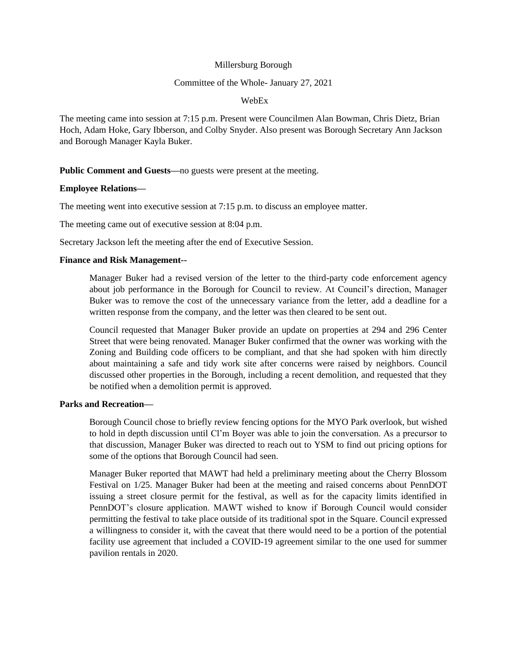### Millersburg Borough

### Committee of the Whole- January 27, 2021

### WebEx

The meeting came into session at 7:15 p.m. Present were Councilmen Alan Bowman, Chris Dietz, Brian Hoch, Adam Hoke, Gary Ibberson, and Colby Snyder. Also present was Borough Secretary Ann Jackson and Borough Manager Kayla Buker.

# **Public Comment and Guests—**no guests were present at the meeting.

# **Employee Relations—**

The meeting went into executive session at 7:15 p.m. to discuss an employee matter.

The meeting came out of executive session at 8:04 p.m.

Secretary Jackson left the meeting after the end of Executive Session.

### **Finance and Risk Management--**

Manager Buker had a revised version of the letter to the third-party code enforcement agency about job performance in the Borough for Council to review. At Council's direction, Manager Buker was to remove the cost of the unnecessary variance from the letter, add a deadline for a written response from the company, and the letter was then cleared to be sent out.

Council requested that Manager Buker provide an update on properties at 294 and 296 Center Street that were being renovated. Manager Buker confirmed that the owner was working with the Zoning and Building code officers to be compliant, and that she had spoken with him directly about maintaining a safe and tidy work site after concerns were raised by neighbors. Council discussed other properties in the Borough, including a recent demolition, and requested that they be notified when a demolition permit is approved.

### **Parks and Recreation—**

Borough Council chose to briefly review fencing options for the MYO Park overlook, but wished to hold in depth discussion until Cl'm Boyer was able to join the conversation. As a precursor to that discussion, Manager Buker was directed to reach out to YSM to find out pricing options for some of the options that Borough Council had seen.

Manager Buker reported that MAWT had held a preliminary meeting about the Cherry Blossom Festival on 1/25. Manager Buker had been at the meeting and raised concerns about PennDOT issuing a street closure permit for the festival, as well as for the capacity limits identified in PennDOT's closure application. MAWT wished to know if Borough Council would consider permitting the festival to take place outside of its traditional spot in the Square. Council expressed a willingness to consider it, with the caveat that there would need to be a portion of the potential facility use agreement that included a COVID-19 agreement similar to the one used for summer pavilion rentals in 2020.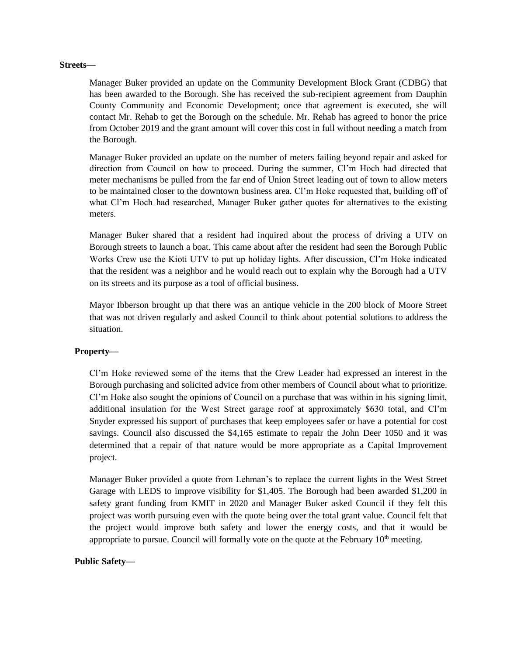#### **Streets—**

Manager Buker provided an update on the Community Development Block Grant (CDBG) that has been awarded to the Borough. She has received the sub-recipient agreement from Dauphin County Community and Economic Development; once that agreement is executed, she will contact Mr. Rehab to get the Borough on the schedule. Mr. Rehab has agreed to honor the price from October 2019 and the grant amount will cover this cost in full without needing a match from the Borough.

Manager Buker provided an update on the number of meters failing beyond repair and asked for direction from Council on how to proceed. During the summer, Cl'm Hoch had directed that meter mechanisms be pulled from the far end of Union Street leading out of town to allow meters to be maintained closer to the downtown business area. Cl'm Hoke requested that, building off of what Cl'm Hoch had researched, Manager Buker gather quotes for alternatives to the existing meters.

Manager Buker shared that a resident had inquired about the process of driving a UTV on Borough streets to launch a boat. This came about after the resident had seen the Borough Public Works Crew use the Kioti UTV to put up holiday lights. After discussion, Cl'm Hoke indicated that the resident was a neighbor and he would reach out to explain why the Borough had a UTV on its streets and its purpose as a tool of official business.

Mayor Ibberson brought up that there was an antique vehicle in the 200 block of Moore Street that was not driven regularly and asked Council to think about potential solutions to address the situation.

# **Property—**

Cl'm Hoke reviewed some of the items that the Crew Leader had expressed an interest in the Borough purchasing and solicited advice from other members of Council about what to prioritize. Cl'm Hoke also sought the opinions of Council on a purchase that was within in his signing limit, additional insulation for the West Street garage roof at approximately \$630 total, and Cl'm Snyder expressed his support of purchases that keep employees safer or have a potential for cost savings. Council also discussed the \$4,165 estimate to repair the John Deer 1050 and it was determined that a repair of that nature would be more appropriate as a Capital Improvement project.

Manager Buker provided a quote from Lehman's to replace the current lights in the West Street Garage with LEDS to improve visibility for \$1,405. The Borough had been awarded \$1,200 in safety grant funding from KMIT in 2020 and Manager Buker asked Council if they felt this project was worth pursuing even with the quote being over the total grant value. Council felt that the project would improve both safety and lower the energy costs, and that it would be appropriate to pursue. Council will formally vote on the quote at the February  $10<sup>th</sup>$  meeting.

# **Public Safety—**